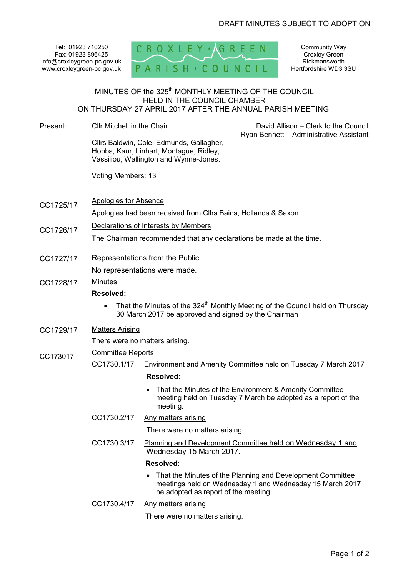Tel: 01923 710250 Fax: 01923 896425 info@croxleygreen-pc.gov.uk www.croxleygreen-pc.gov.uk



Community Way Croxley Green **Rickmansworth** Hertfordshire WD3 3SU

# MINUTES OF the 325<sup>th</sup> MONTHLY MEETING OF THE COUNCIL HELD IN THE COUNCIL CHAMBER ON THURSDAY 27 APRIL 2017 AFTER THE ANNUAL PARISH MEETING.

- Present: Cllr Mitchell in the Chair Cllrs Baldwin, Cole, Edmunds, Gallagher, Hobbs, Kaur, Linhart, Montague, Ridley, Vassiliou, Wallington and Wynne-Jones. Voting Members: 13 David Allison – Clerk to the Council Ryan Bennett – Administrative Assistant CC1725/17 Apologies for Absence
	- Apologies had been received from Cllrs Bains, Hollands & Saxon.
- CC1726/17 Declarations of Interests by Members

The Chairman recommended that any declarations be made at the time.

CC1727/17 Representations from the Public

No representations were made.

CC1728/17 Minutes

### **Resolved:**

- That the Minutes of the 324<sup>th</sup> Monthly Meeting of the Council held on Thursday 30 March 2017 be approved and signed by the Chairman
- CC1729/17 Matters Arising

There were no matters arising.

- CC173017 Committee Reports<br>CC1730.1/17 Env
	- Environment and Amenity Committee held on Tuesday 7 March 2017

#### **Resolved:**

- That the Minutes of the Environment & Amenity Committee meeting held on Tuesday 7 March be adopted as a report of the meeting.
- CC1730.2/17 Any matters arising

There were no matters arising.

CC1730.3/17 Planning and Development Committee held on Wednesday 1 and Wednesday 15 March 2017.

### **Resolved:**

- That the Minutes of the Planning and Development Committee meetings held on Wednesday 1 and Wednesday 15 March 2017 be adopted as report of the meeting.
- CC1730.4/17 Any matters arising

There were no matters arising.